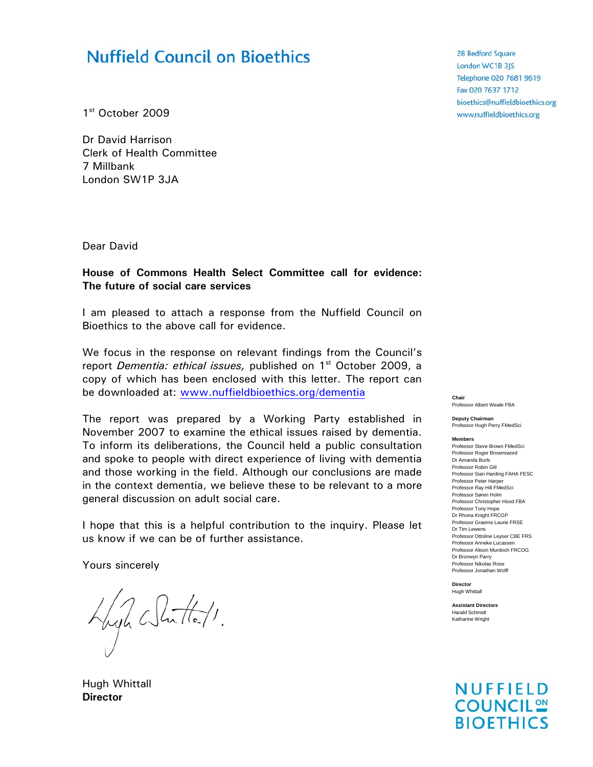# **Nuffield Council on Bioethics**

1<sup>st</sup> October 2009

Dr David Harrison Clerk of Health Committee 7 Millbank London SW1P 3JA

Dear David

#### **House of Commons Health Select Committee call for evidence: The future of social care services**

I am pleased to attach a response from the Nuffield Council on Bioethics to the above call for evidence.

We focus in the response on relevant findings from the Council's report *Dementia: ethical issues*, published on 1<sup>st</sup> October 2009, a copy of which has been enclosed with this letter. The report can be downloaded at: www.nuffieldbioethics.org/dementia

The report was prepared by a Working Party established in November 2007 to examine the ethical issues raised by dementia. To inform its deliberations, the Council held a public consultation and spoke to people with direct experience of living with dementia and those working in the field. Although our conclusions are made in the context dementia, we believe these to be relevant to a more general discussion on adult social care.

I hope that this is a helpful contribution to the inquiry. Please let us know if we can be of further assistance.

Yours sincerely

Hugh White/

Hugh Whittall **Director** 

28 Bedford Square London WC1B 3JS Telephone 020 7681 9619 Fax 020 7637 1712 bioethics@nuffieldbioethics.org www.nuffieldbioethics.org

**Chair**  Professor Albert Weale FBA

**Deputy Chairman**  Professor Hugh Perry FMedSci

#### **Members**

Professor Steve Brown FMedSci Professor Roger Brownsword Dr Amanda Burls Professor Robin Gill Professor Sian Harding FAHA FESC Professor Peter Harper Professor Ray Hill FMedSci Professor Søren Holm Professor Christopher Hood FBA Professor Tony Hope Dr Rhona Knight FRCGP Professor Graeme Laurie FRSE Dr Tim Lewens Professor Ottoline Leyser CBE FRS Professor Anneke Lucassen Professor Alison Murdoch FRCOG Dr Bronwyn Parry Professor Nikolas Rose Professor Jonathan Wolff

**Director**  Hugh Whittall

**Assistant Directors**  Harald Schmidt Katharine Wright

**NUFFIELD COUNCIL<sup>ON</sup> BIOETHICS**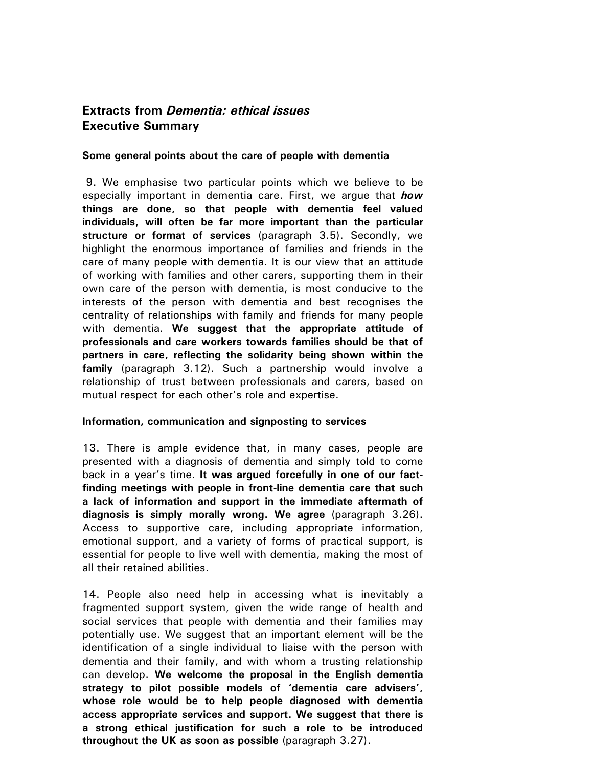## **Extracts from** *Dementia: ethical issues*  **Executive Summary**

#### **Some general points about the care of people with dementia**

 9. We emphasise two particular points which we believe to be especially important in dementia care. First, we argue that *how*  **things are done, so that people with dementia feel valued individuals, will often be far more important than the particular structure or format of services** (paragraph 3.5). Secondly, we highlight the enormous importance of families and friends in the care of many people with dementia. It is our view that an attitude of working with families and other carers, supporting them in their own care of the person with dementia, is most conducive to the interests of the person with dementia and best recognises the centrality of relationships with family and friends for many people with dementia. **We suggest that the appropriate attitude of professionals and care workers towards families should be that of partners in care, reflecting the solidarity being shown within the family** (paragraph 3.12). Such a partnership would involve a relationship of trust between professionals and carers, based on mutual respect for each other's role and expertise.

#### **Information, communication and signposting to services**

13. There is ample evidence that, in many cases, people are presented with a diagnosis of dementia and simply told to come back in a year's time. **It was argued forcefully in one of our factfinding meetings with people in front-line dementia care that such a lack of information and support in the immediate aftermath of diagnosis is simply morally wrong. We agree** (paragraph 3.26). Access to supportive care, including appropriate information, emotional support, and a variety of forms of practical support, is essential for people to live well with dementia, making the most of all their retained abilities.

14. People also need help in accessing what is inevitably a fragmented support system, given the wide range of health and social services that people with dementia and their families may potentially use. We suggest that an important element will be the identification of a single individual to liaise with the person with dementia and their family, and with whom a trusting relationship can develop. **We welcome the proposal in the English dementia strategy to pilot possible models of 'dementia care advisers', whose role would be to help people diagnosed with dementia access appropriate services and support. We suggest that there is a strong ethical justification for such a role to be introduced throughout the UK as soon as possible** (paragraph 3.27).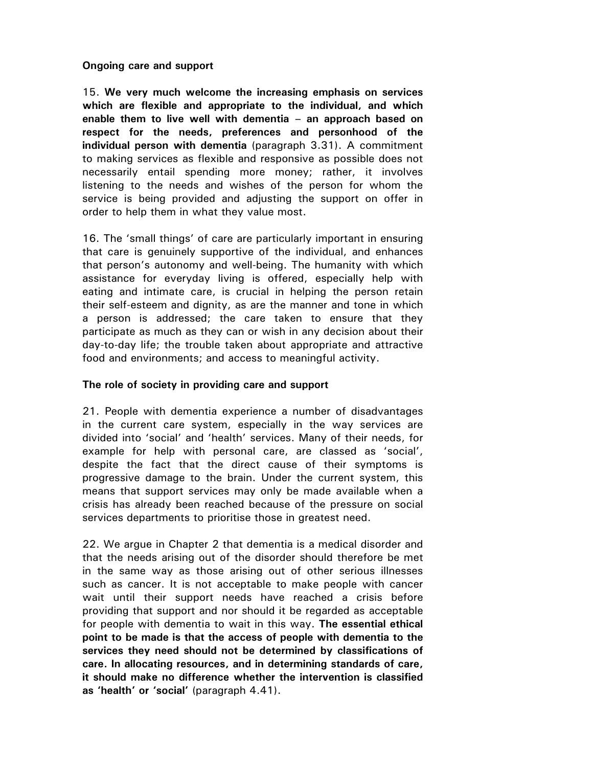#### **Ongoing care and support**

15. **We very much welcome the increasing emphasis on services which are flexible and appropriate to the individual, and which enable them to live well with dementia – an approach based on respect for the needs, preferences and personhood of the individual person with dementia** (paragraph 3.31). A commitment to making services as flexible and responsive as possible does not necessarily entail spending more money; rather, it involves listening to the needs and wishes of the person for whom the service is being provided and adjusting the support on offer in order to help them in what they value most.

16. The 'small things' of care are particularly important in ensuring that care is genuinely supportive of the individual, and enhances that person's autonomy and well-being. The humanity with which assistance for everyday living is offered, especially help with eating and intimate care, is crucial in helping the person retain their self-esteem and dignity, as are the manner and tone in which a person is addressed; the care taken to ensure that they participate as much as they can or wish in any decision about their day-to-day life; the trouble taken about appropriate and attractive food and environments; and access to meaningful activity.

#### **The role of society in providing care and support**

21. People with dementia experience a number of disadvantages in the current care system, especially in the way services are divided into 'social' and 'health' services. Many of their needs, for example for help with personal care, are classed as 'social', despite the fact that the direct cause of their symptoms is progressive damage to the brain. Under the current system, this means that support services may only be made available when a crisis has already been reached because of the pressure on social services departments to prioritise those in greatest need.

22. We argue in Chapter 2 that dementia is a medical disorder and that the needs arising out of the disorder should therefore be met in the same way as those arising out of other serious illnesses such as cancer. It is not acceptable to make people with cancer wait until their support needs have reached a crisis before providing that support and nor should it be regarded as acceptable for people with dementia to wait in this way. **The essential ethical point to be made is that the access of people with dementia to the services they need should not be determined by classifications of care. In allocating resources, and in determining standards of care, it should make no difference whether the intervention is classified as 'health' or 'social'** (paragraph 4.41).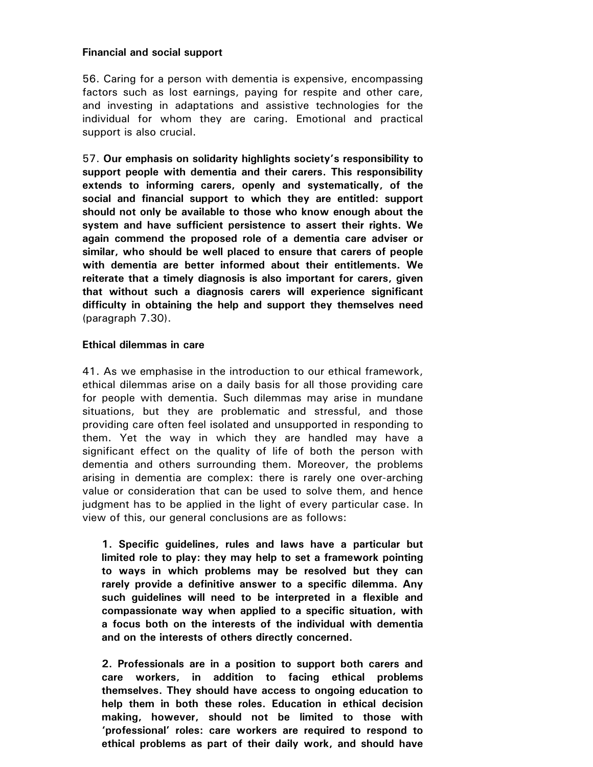#### **Financial and social support**

56. Caring for a person with dementia is expensive, encompassing factors such as lost earnings, paying for respite and other care, and investing in adaptations and assistive technologies for the individual for whom they are caring. Emotional and practical support is also crucial.

57. **Our emphasis on solidarity highlights society's responsibility to support people with dementia and their carers. This responsibility extends to informing carers, openly and systematically, of the social and financial support to which they are entitled: support should not only be available to those who know enough about the system and have sufficient persistence to assert their rights. We again commend the proposed role of a dementia care adviser or similar, who should be well placed to ensure that carers of people with dementia are better informed about their entitlements. We reiterate that a timely diagnosis is also important for carers, given that without such a diagnosis carers will experience significant difficulty in obtaining the help and support they themselves need**  (paragraph 7.30).

#### **Ethical dilemmas in care**

41. As we emphasise in the introduction to our ethical framework, ethical dilemmas arise on a daily basis for all those providing care for people with dementia. Such dilemmas may arise in mundane situations, but they are problematic and stressful, and those providing care often feel isolated and unsupported in responding to them. Yet the way in which they are handled may have a significant effect on the quality of life of both the person with dementia and others surrounding them. Moreover, the problems arising in dementia are complex: there is rarely one over-arching value or consideration that can be used to solve them, and hence judgment has to be applied in the light of every particular case. In view of this, our general conclusions are as follows:

**1. Specific guidelines, rules and laws have a particular but limited role to play: they may help to set a framework pointing to ways in which problems may be resolved but they can rarely provide a definitive answer to a specific dilemma. Any such guidelines will need to be interpreted in a flexible and compassionate way when applied to a specific situation, with a focus both on the interests of the individual with dementia and on the interests of others directly concerned.** 

**2. Professionals are in a position to support both carers and care workers, in addition to facing ethical problems themselves. They should have access to ongoing education to help them in both these roles. Education in ethical decision making, however, should not be limited to those with 'professional' roles: care workers are required to respond to ethical problems as part of their daily work, and should have**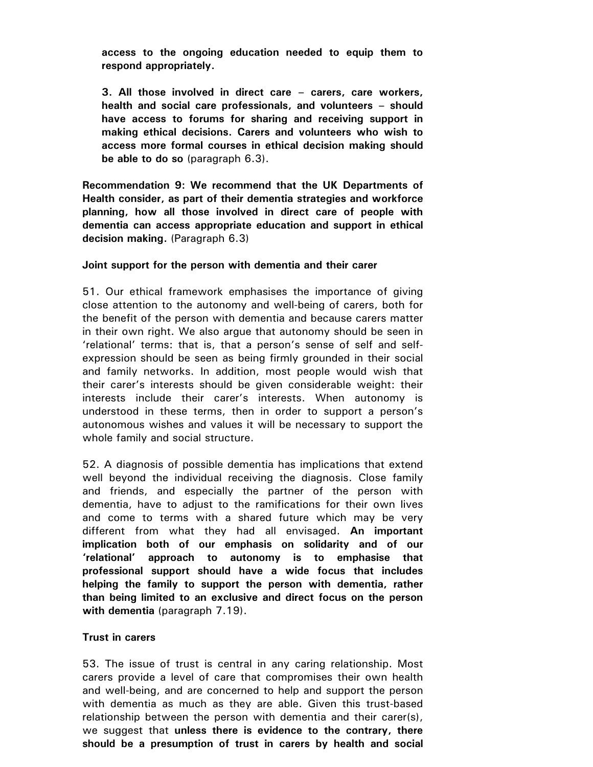**access to the ongoing education needed to equip them to respond appropriately.** 

**3. All those involved in direct care – carers, care workers, health and social care professionals, and volunteers – should have access to forums for sharing and receiving support in making ethical decisions. Carers and volunteers who wish to access more formal courses in ethical decision making should be able to do so** (paragraph 6.3).

**Recommendation 9: We recommend that the UK Departments of Health consider, as part of their dementia strategies and workforce planning, how all those involved in direct care of people with dementia can access appropriate education and support in ethical decision making.** (Paragraph 6.3)

#### **Joint support for the person with dementia and their carer**

51. Our ethical framework emphasises the importance of giving close attention to the autonomy and well-being of carers, both for the benefit of the person with dementia and because carers matter in their own right. We also argue that autonomy should be seen in 'relational' terms: that is, that a person's sense of self and selfexpression should be seen as being firmly grounded in their social and family networks. In addition, most people would wish that their carer's interests should be given considerable weight: their interests include their carer's interests. When autonomy is understood in these terms, then in order to support a person's autonomous wishes and values it will be necessary to support the whole family and social structure.

52. A diagnosis of possible dementia has implications that extend well beyond the individual receiving the diagnosis. Close family and friends, and especially the partner of the person with dementia, have to adjust to the ramifications for their own lives and come to terms with a shared future which may be very different from what they had all envisaged. **An important implication both of our emphasis on solidarity and of our 'relational' approach to autonomy is to emphasise that professional support should have a wide focus that includes helping the family to support the person with dementia, rather than being limited to an exclusive and direct focus on the person with dementia** (paragraph 7.19).

#### **Trust in carers**

53. The issue of trust is central in any caring relationship. Most carers provide a level of care that compromises their own health and well-being, and are concerned to help and support the person with dementia as much as they are able. Given this trust-based relationship between the person with dementia and their carer(s), we suggest that **unless there is evidence to the contrary, there should be a presumption of trust in carers by health and social**